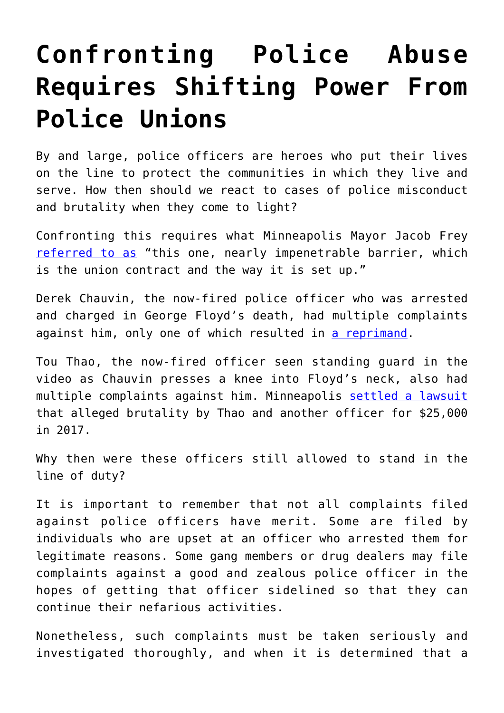## **[Confronting Police Abuse](https://intellectualtakeout.org/2020/06/confronting-police-abuse-requires-shifting-power-from-police-unions/) [Requires Shifting Power From](https://intellectualtakeout.org/2020/06/confronting-police-abuse-requires-shifting-power-from-police-unions/) [Police Unions](https://intellectualtakeout.org/2020/06/confronting-police-abuse-requires-shifting-power-from-police-unions/)**

By and large, police officers are heroes who put their lives on the line to protect the communities in which they live and serve. How then should we react to cases of police misconduct and brutality when they come to light?

Confronting this requires what Minneapolis Mayor Jacob Frey [referred to as](https://podcasts.google.com/feed/aHR0cHM6Ly9yc3MuYXJ0MTkuY29tL3RoZS1kYWlseQ/episode/Z2lkOi8vYXJ0MTktZXBpc29kZS1sb2NhdG9yL1YwLzA5LWFiREZxNFFjLWc3WVcwUG1Melc3enFRaVlkY1laYkFYNmdwSjgwZkE) "this one, nearly impenetrable barrier, which is the union contract and the way it is set up."

Derek Chauvin, the now-fired police officer who was arrested and charged in George Floyd's death, had multiple complaints against him, only one of which resulted in [a reprimand](https://www.startribune.com/personnel-records-shed-light-on-four-minneapolis-police-officers-charged-in-george-floyd-s-death/571019902/).

Tou Thao, the now-fired officer seen standing guard in the video as Chauvin presses a knee into Floyd's neck, also had multiple complaints against him. Minneapolis [settled a lawsuit](https://www.vox.com/2020/5/31/21276049/derek-chauvin-tou-thao-kueng-lane-officers-george-floyd-what-we-know) that alleged brutality by Thao and another officer for \$25,000 in 2017.

Why then were these officers still allowed to stand in the line of duty?

It is important to remember that not all complaints filed against police officers have merit. Some are filed by individuals who are upset at an officer who arrested them for legitimate reasons. Some gang members or drug dealers may file complaints against a good and zealous police officer in the hopes of getting that officer sidelined so that they can continue their nefarious activities.

Nonetheless, such complaints must be taken seriously and investigated thoroughly, and when it is determined that a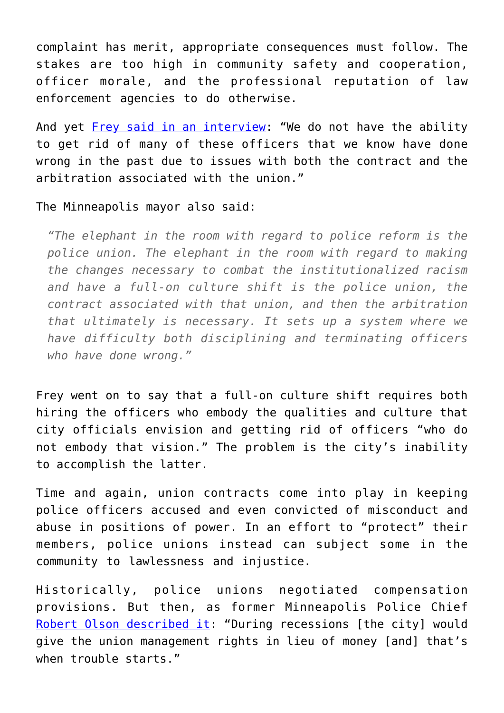complaint has merit, appropriate consequences must follow. The stakes are too high in community safety and cooperation, officer morale, and the professional reputation of law enforcement agencies to do otherwise.

And yet [Frey said in an interview](https://podcasts.google.com/feed/aHR0cHM6Ly9yc3MuYXJ0MTkuY29tL3RoZS1kYWlseQ/episode/Z2lkOi8vYXJ0MTktZXBpc29kZS1sb2NhdG9yL1YwLzA5LWFiREZxNFFjLWc3WVcwUG1Melc3enFRaVlkY1laYkFYNmdwSjgwZkE): "We do not have the ability to get rid of many of these officers that we know have done wrong in the past due to issues with both the contract and the arbitration associated with the union."

## The Minneapolis mayor also said:

*"The elephant in the room with regard to police reform is the police union. The elephant in the room with regard to making the changes necessary to combat the institutionalized racism and have a full-on culture shift is the police union, the contract associated with that union, and then the arbitration that ultimately is necessary. It sets up a system where we have difficulty both disciplining and terminating officers who have done wrong."*

Frey went on to say that a full-on culture shift requires both hiring the officers who embody the qualities and culture that city officials envision and getting rid of officers "who do not embody that vision." The problem is the city's inability to accomplish the latter.

Time and again, union contracts come into play in keeping police officers accused and even convicted of misconduct and abuse in positions of power. In an effort to "protect" their members, police unions instead can subject some in the community to lawlessness and injustice.

Historically, police unions negotiated compensation provisions. But then, as former Minneapolis Police Chief [Robert Olson described it](https://www.reuters.com/investigates/special-report/usa-police-unions/): "During recessions [the city] would give the union management rights in lieu of money [and] that's when trouble starts."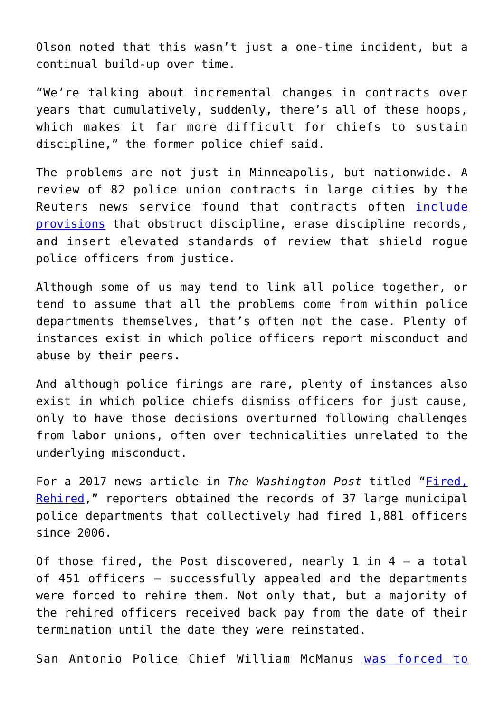Olson noted that this wasn't just a one-time incident, but a continual build-up over time.

"We're talking about incremental changes in contracts over years that cumulatively, suddenly, there's all of these hoops, which makes it far more difficult for chiefs to sustain discipline," the former police chief said.

The problems are not just in Minneapolis, but nationwide. A review of 82 police union contracts in large cities by the Reuters news service found that contracts often [include](https://www.reuters.com/investigates/special-report/usa-police-unions/) [provisions](https://www.reuters.com/investigates/special-report/usa-police-unions/) that obstruct discipline, erase discipline records, and insert elevated standards of review that shield rogue police officers from justice.

Although some of us may tend to link all police together, or tend to assume that all the problems come from within police departments themselves, that's often not the case. Plenty of instances exist in which police officers report misconduct and abuse by their peers.

And although police firings are rare, plenty of instances also exist in which police chiefs dismiss officers for just cause, only to have those decisions overturned following challenges from labor unions, often over technicalities unrelated to the underlying misconduct.

For a 2017 news article in *The Washington Post* titled "*Fired*, [Rehired,](https://www.washingtonpost.com/graphics/2017/investigations/police-fired-rehired/?noredirect=on)" reporters obtained the records of 37 large municipal police departments that collectively had fired 1,881 officers since 2006.

Of those fired, the Post discovered, nearly 1 in  $4 - a$  total of 451 officers – successfully appealed and the departments were forced to rehire them. Not only that, but a majority of the rehired officers received back pay from the date of their termination until the date they were reinstated.

San Antonio Police Chief William McManus [was forced to](https://www.washingtonpost.com/graphics/2017/investigations/police-fired-rehired/?noredirect=on)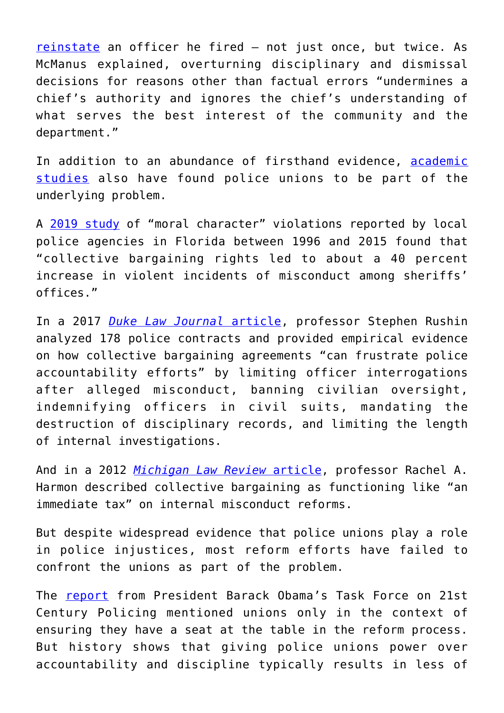[reinstate](https://www.washingtonpost.com/graphics/2017/investigations/police-fired-rehired/?noredirect=on) an officer he fired – not just once, but twice. As McManus explained, overturning disciplinary and dismissal decisions for reasons other than factual errors "undermines a chief's authority and ignores the chief's understanding of what serves the best interest of the community and the department."

In addition to an abundance of firsthand evidence, [academic](https://crim.jotwell.com/the-power-of-police-unions/) [studies](https://crim.jotwell.com/the-power-of-police-unions/) also have found police unions to be part of the underlying problem.

A [2019 study](https://static1.squarespace.com/static/55ad38b1e4b0185f0285195f/t/5d92b749ad13ae3d9b293125/1569896278868/Sheriffs+Unions+Misconduct.pdf) of "moral character" violations reported by local police agencies in Florida between 1996 and 2015 found that "collective bargaining rights led to about a 40 percent increase in violent incidents of misconduct among sheriffs' offices."

In a 2017 *[Duke Law Journal](https://scholarship.law.duke.edu/cgi/viewcontent.cgi?article=3890&context=dlj)* [article](https://scholarship.law.duke.edu/cgi/viewcontent.cgi?article=3890&context=dlj), professor Stephen Rushin analyzed 178 police contracts and provided empirical evidence on how collective bargaining agreements "can frustrate police accountability efforts" by limiting officer interrogations after alleged misconduct, banning civilian oversight, indemnifying officers in civil suits, mandating the destruction of disciplinary records, and limiting the length of internal investigations.

And in a 2012 *[Michigan Law Review](https://repository.law.umich.edu/cgi/viewcontent.cgi?article=1126&context=mlr)* [article](https://repository.law.umich.edu/cgi/viewcontent.cgi?article=1126&context=mlr), professor Rachel A. Harmon described collective bargaining as functioning like "an immediate tax" on internal misconduct reforms.

But despite widespread evidence that police unions play a role in police injustices, most reform efforts have failed to confront the unions as part of the problem.

The [report](https://noblenational.org/wp-content/uploads/2017/02/President-Barack-Obama-Task-Force-on-21st-Century-Policing-Implementation-Guide.pdf) from President Barack Obama's Task Force on 21st Century Policing mentioned unions only in the context of ensuring they have a seat at the table in the reform process. But history shows that giving police unions power over accountability and discipline typically results in less of